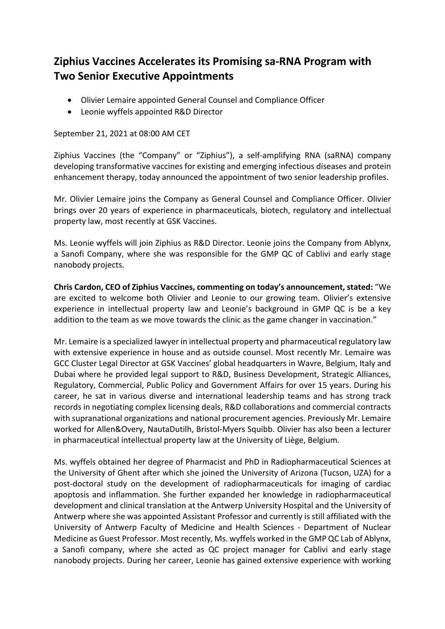## **Ziphius Vaccines Accelerates its Promising sa-RNA Program with Two Senior Executive Appointments**

- Olivier Lemaire appointed General Counsel and Compliance Officer
- Leonie wyffels appointed R&D Director

## September 21, 2021 at 08:00 AM CET

Ziphius Vaccines (the "Company" or "Ziphius"), a self-amplifying RNA (saRNA) company developing transformative vaccines for existing and emerging infectious diseases and protein enhancement therapy, today announced the appointment of two senior leadership profiles.

Mr. Olivier Lemaire joins the Company as General Counsel and Compliance Officer. Olivier brings over 20 years of experience in pharmaceuticals, biotech, regulatory and intellectual property law, most recently at GSK Vaccines.

Ms. Leonie wyffels will join Ziphius as R&D Director. Leonie joins the Company from Ablynx, a Sanofi Company, where she was responsible for the GMP QC of Cablivi and early stage nanobody projects.

**Chris Cardon, CEO of Ziphius Vaccines, commenting on today's announcement, stated:** "We are excited to welcome both Olivier and Leonie to our growing team. Olivier's extensive experience in intellectual property law and Leonie's background in GMP QC is be a key addition to the team as we move towards the clinic as the game changer in vaccination."

Mr. Lemaire is a specialized lawyer in intellectual property and pharmaceutical regulatory law with extensive experience in house and as outside counsel. Most recently Mr. Lemaire was GCC Cluster Legal Director at GSK Vaccines' global headquarters in Wavre, Belgium, Italy and Dubai where he provided legal support to R&D, Business Development, Strategic Alliances, Regulatory, Commercial, Public Policy and Government Affairs for over 15 years. During his career, he sat in various diverse and international leadership teams and has strong track records in negotiating complex licensing deals, R&D collaborations and commercial contracts with supranational organizations and national procurement agencies. Previously Mr. Lemaire worked for Allen&Overy, NautaDutilh, Bristol-Myers Squibb. Olivier has also been a lecturer in pharmaceutical intellectual property law at the University of Liège, Belgium.

Ms. wyffels obtained her degree of Pharmacist and PhD in Radiopharmaceutical Sciences at the University of Ghent after which she joined the University of Arizona (Tucson, UZA) for a post-doctoral study on the development of radiopharmaceuticals for imaging of cardiac apoptosis and inflammation. She further expanded her knowledge in radiopharmaceutical development and clinical translation at the Antwerp University Hospital and the University of Antwerp where she was appointed Assistant Professor and currently is still affiliated with the University of Antwerp Faculty of Medicine and Health Sciences - Department of Nuclear Medicine as Guest Professor. Most recently, Ms. wyffels worked in the GMP QC Lab of Ablynx, a Sanofi company, where she acted as QC project manager for Cablivi and early stage nanobody projects. During her career, Leonie has gained extensive experience with working